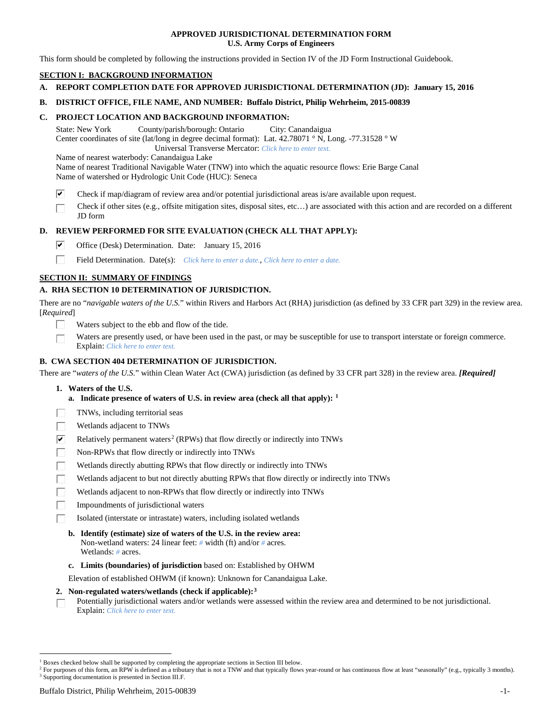# **APPROVED JURISDICTIONAL DETERMINATION FORM U.S. Army Corps of Engineers**

This form should be completed by following the instructions provided in Section IV of the JD Form Instructional Guidebook.

# **SECTION I: BACKGROUND INFORMATION**

**A. REPORT COMPLETION DATE FOR APPROVED JURISDICTIONAL DETERMINATION (JD): January 15, 2016**

## **B. DISTRICT OFFICE, FILE NAME, AND NUMBER: Buffalo District, Philip Wehrheim, 2015-00839**

# **C. PROJECT LOCATION AND BACKGROUND INFORMATION:**

State: New York County/parish/borough: Ontario City: Canandaigua Center coordinates of site (lat/long in degree decimal format): Lat. 42.78071 ° N, Long. -77.31528 ° W Universal Transverse Mercator: *Click here to enter text.*

Name of nearest waterbody: Canandaigua Lake

Name of nearest Traditional Navigable Water (TNW) into which the aquatic resource flows: Erie Barge Canal Name of watershed or Hydrologic Unit Code (HUC): Seneca

- ☑ Check if map/diagram of review area and/or potential jurisdictional areas is/are available upon request.
- Check if other sites (e.g., offsite mitigation sites, disposal sites, etc…) are associated with this action and are recorded on a different JD form

# **D. REVIEW PERFORMED FOR SITE EVALUATION (CHECK ALL THAT APPLY):**

- ⊽ Office (Desk) Determination. Date: January 15, 2016
- п Field Determination. Date(s): *Click here to enter a date.*, *Click here to enter a date.*

# **SECTION II: SUMMARY OF FINDINGS**

# **A. RHA SECTION 10 DETERMINATION OF JURISDICTION.**

There are no "*navigable waters of the U.S.*" within Rivers and Harbors Act (RHA) jurisdiction (as defined by 33 CFR part 329) in the review area. [*Required*]

- Waters subject to the ebb and flow of the tide.
- Waters are presently used, or have been used in the past, or may be susceptible for use to transport interstate or foreign commerce. Explain: *Click here to enter text.*

# **B. CWA SECTION 404 DETERMINATION OF JURISDICTION.**

There are "*waters of the U.S.*" within Clean Water Act (CWA) jurisdiction (as defined by 33 CFR part 328) in the review area. *[Required]*

- **1. Waters of the U.S.**
	- **a. Indicate presence of waters of U.S. in review area (check all that apply): [1](#page-0-0)**
- TNWs, including territorial seas
- Wetlands adjacent to TNWs
- $\overline{\mathbf{v}}$ Relatively permanent waters<sup>[2](#page-0-1)</sup> (RPWs) that flow directly or indirectly into TNWs
- П Non-RPWs that flow directly or indirectly into TNWs
- Wetlands directly abutting RPWs that flow directly or indirectly into TNWs
- Wetlands adjacent to but not directly abutting RPWs that flow directly or indirectly into TNWs
- П Wetlands adjacent to non-RPWs that flow directly or indirectly into TNWs
- Impoundments of jurisdictional waters
- Isolated (interstate or intrastate) waters, including isolated wetlands
	- **b. Identify (estimate) size of waters of the U.S. in the review area:** Non-wetland waters: 24 linear feet: *#* width (ft) and/or *#* acres. Wetlands: *#* acres.
	- **c. Limits (boundaries) of jurisdiction** based on: Established by OHWM

Elevation of established OHWM (if known): Unknown for Canandaigua Lake.

## **2. Non-regulated waters/wetlands (check if applicable):[3](#page-0-2)**

Potentially jurisdictional waters and/or wetlands were assessed within the review area and determined to be not jurisdictional. П Explain: *Click here to enter text.*

<span id="page-0-0"></span><sup>&</sup>lt;sup>1</sup> Boxes checked below shall be supported by completing the appropriate sections in Section III below.

<span id="page-0-2"></span><span id="page-0-1"></span><sup>&</sup>lt;sup>2</sup> For purposes of this form, an RPW is defined as a tributary that is not a TNW and that typically flows year-round or has continuous flow at least "seasonally" (e.g., typically 3 months). <sup>3</sup> Supporting documentation is presented in Section III.F.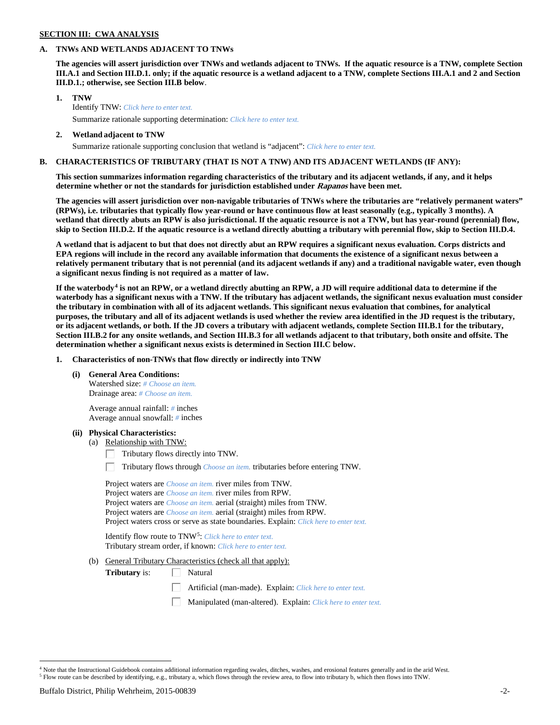# **SECTION III: CWA ANALYSIS**

## **A. TNWs AND WETLANDS ADJACENT TO TNWs**

**The agencies will assert jurisdiction over TNWs and wetlands adjacent to TNWs. If the aquatic resource is a TNW, complete Section III.A.1 and Section III.D.1. only; if the aquatic resource is a wetland adjacent to a TNW, complete Sections III.A.1 and 2 and Section III.D.1.; otherwise, see Section III.B below**.

- **1. TNW**  Identify TNW: *Click here to enter text.*
	- Summarize rationale supporting determination: *Click here to enter text.*
- **2. Wetland adjacent to TNW** Summarize rationale supporting conclusion that wetland is "adjacent": *Click here to enter text.*

# **B. CHARACTERISTICS OF TRIBUTARY (THAT IS NOT A TNW) AND ITS ADJACENT WETLANDS (IF ANY):**

**This section summarizes information regarding characteristics of the tributary and its adjacent wetlands, if any, and it helps determine whether or not the standards for jurisdiction established under Rapanos have been met.** 

**The agencies will assert jurisdiction over non-navigable tributaries of TNWs where the tributaries are "relatively permanent waters" (RPWs), i.e. tributaries that typically flow year-round or have continuous flow at least seasonally (e.g., typically 3 months). A wetland that directly abuts an RPW is also jurisdictional. If the aquatic resource is not a TNW, but has year-round (perennial) flow, skip to Section III.D.2. If the aquatic resource is a wetland directly abutting a tributary with perennial flow, skip to Section III.D.4.**

**A wetland that is adjacent to but that does not directly abut an RPW requires a significant nexus evaluation. Corps districts and EPA regions will include in the record any available information that documents the existence of a significant nexus between a relatively permanent tributary that is not perennial (and its adjacent wetlands if any) and a traditional navigable water, even though a significant nexus finding is not required as a matter of law.**

**If the waterbody[4](#page-1-0) is not an RPW, or a wetland directly abutting an RPW, a JD will require additional data to determine if the waterbody has a significant nexus with a TNW. If the tributary has adjacent wetlands, the significant nexus evaluation must consider the tributary in combination with all of its adjacent wetlands. This significant nexus evaluation that combines, for analytical purposes, the tributary and all of its adjacent wetlands is used whether the review area identified in the JD request is the tributary, or its adjacent wetlands, or both. If the JD covers a tributary with adjacent wetlands, complete Section III.B.1 for the tributary, Section III.B.2 for any onsite wetlands, and Section III.B.3 for all wetlands adjacent to that tributary, both onsite and offsite. The determination whether a significant nexus exists is determined in Section III.C below.**

**1. Characteristics of non-TNWs that flow directly or indirectly into TNW**

**(i) General Area Conditions:**

Watershed size: *# Choose an item.* Drainage area: *# Choose an item.*

Average annual rainfall: *#* inches Average annual snowfall: *#* inches

## **(ii) Physical Characteristics:**

- (a) Relationship with TNW:
	- Tributary flows directly into TNW. Г.

Tributary flows through *Choose an item.* tributaries before entering TNW.

Project waters are *Choose an item.* river miles from TNW. Project waters are *Choose an item.* river miles from RPW. Project waters are *Choose an item.* aerial (straight) miles from TNW. Project waters are *Choose an item.* aerial (straight) miles from RPW. Project waters cross or serve as state boundaries. Explain: *Click here to enter text.*

Identify flow route to TNW[5:](#page-1-1) *Click here to enter text.* Tributary stream order, if known: *Click here to enter text.*

(b) General Tributary Characteristics (check all that apply):

**Tributary** is:  $\Box$  Natural

- Artificial (man-made). Explain: *Click here to enter text.*
- Manipulated (man-altered). Explain: *Click here to enter text.*

<span id="page-1-1"></span><span id="page-1-0"></span><sup>&</sup>lt;sup>4</sup> Note that the Instructional Guidebook contains additional information regarding swales, ditches, washes, and erosional features generally and in the arid West. <sup>5</sup> Flow route can be described by identifying, e.g., tributary a, which flows through the review area, to flow into tributary b, which then flows into TNW.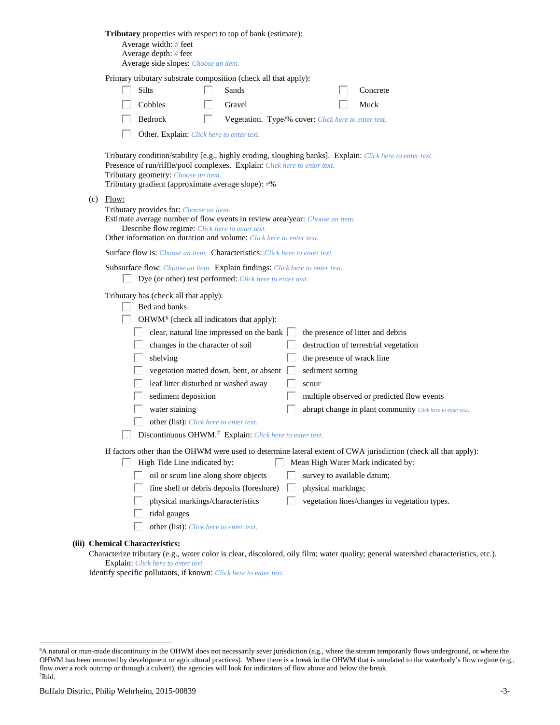| Tributary properties with respect to top of bank (estimate):<br>Average width: # feet<br>Average depth: $#$ feet<br>Average side slopes: Choose an item.                                                                                                                                                                                                                                                                                                                                                                                                                                                                                                                                                                     |
|------------------------------------------------------------------------------------------------------------------------------------------------------------------------------------------------------------------------------------------------------------------------------------------------------------------------------------------------------------------------------------------------------------------------------------------------------------------------------------------------------------------------------------------------------------------------------------------------------------------------------------------------------------------------------------------------------------------------------|
| Primary tributary substrate composition (check all that apply):<br><b>Silts</b><br>Sands<br>Concrete<br>Cobbles<br>Gravel<br>Muck<br>Bedrock<br>Vegetation. Type/% cover: Click here to enter text.<br>H<br>Other. Explain: Click here to enter text.                                                                                                                                                                                                                                                                                                                                                                                                                                                                        |
| Tributary condition/stability [e.g., highly eroding, sloughing banks]. Explain: Click here to enter text.<br>Presence of run/riffle/pool complexes. Explain: Click here to enter text.<br>Tributary geometry: Choose an item.<br>Tributary gradient (approximate average slope): #%                                                                                                                                                                                                                                                                                                                                                                                                                                          |
| $(c)$ Flow:<br>Tributary provides for: Choose an item.<br>Estimate average number of flow events in review area/year: Choose an item.<br>Describe flow regime: Click here to enter text.<br>Other information on duration and volume: Click here to enter text.                                                                                                                                                                                                                                                                                                                                                                                                                                                              |
| <b>Surface flow is:</b> Choose an item. <b>Characteristics:</b> Click here to enter text.                                                                                                                                                                                                                                                                                                                                                                                                                                                                                                                                                                                                                                    |
| Subsurface flow: Choose an item. Explain findings: Click here to enter text.<br>Dye (or other) test performed: Click here to enter text.                                                                                                                                                                                                                                                                                                                                                                                                                                                                                                                                                                                     |
| Tributary has (check all that apply):<br>Bed and banks<br>OHWM <sup>6</sup> (check all indicators that apply):<br>clear, natural line impressed on the bank $\Box$<br>the presence of litter and debris<br>changes in the character of soil<br>destruction of terrestrial vegetation<br>the presence of wrack line<br>shelving<br>vegetation matted down, bent, or absent<br>sediment sorting<br>leaf litter disturbed or washed away<br>scour<br>sediment deposition<br>multiple observed or predicted flow events<br>water staining<br>abrupt change in plant community Click here to enter text.<br>other (list): Click here to enter text.<br>$\Box$ Discontinuous OHWM. <sup>7</sup> Explain: Click here to enter text. |
| If factors other than the OHWM were used to determine lateral extent of CWA jurisdiction (check all that apply):<br>High Tide Line indicated by:<br>Mean High Water Mark indicated by:<br>L<br>oil or scum line along shore objects<br>survey to available datum;<br>fine shell or debris deposits (foreshore)<br>physical markings;<br>physical markings/characteristics<br>vegetation lines/changes in vegetation types.<br>tidal gauges<br>other (list): Click here to enter text.                                                                                                                                                                                                                                        |
| (iii) Chemical Characteristics:                                                                                                                                                                                                                                                                                                                                                                                                                                                                                                                                                                                                                                                                                              |

Characterize tributary (e.g., water color is clear, discolored, oily film; water quality; general watershed characteristics, etc.). Explain: *Click here to enter text.*

Identify specific pollutants, if known: *Click here to enter text.*

<span id="page-2-1"></span><span id="page-2-0"></span> <sup>6</sup> <sup>6</sup>A natural or man-made discontinuity in the OHWM does not necessarily sever jurisdiction (e.g., where the stream temporarily flows underground, or where the OHWM has been removed by development or agricultural practices). Where there is a break in the OHWM that is unrelated to the waterbody's flow regime (e.g., flow over a rock outcrop or through a culvert), the agencies will look for indicators of flow above and below the break. 7 Ibid.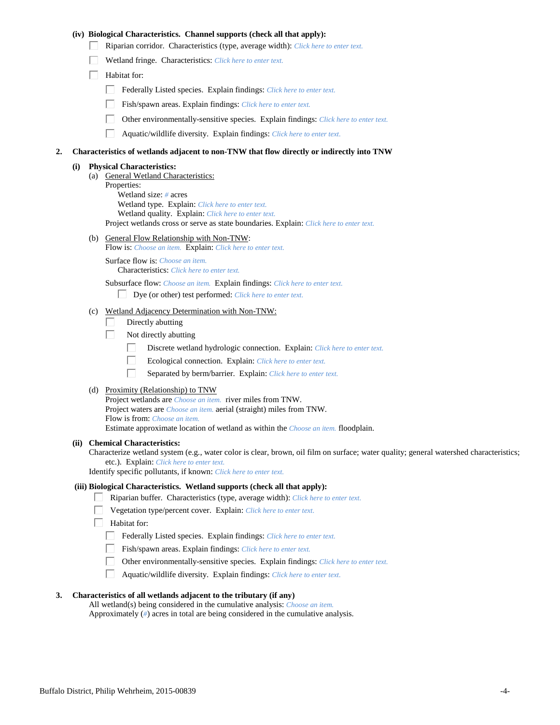# **(iv) Biological Characteristics. Channel supports (check all that apply):**

- Riparian corridor. Characteristics (type, average width): *Click here to enter text.*
- Wetland fringe. Characteristics: *Click here to enter text.*
- $\Box$  Habitat for:
	- Federally Listed species. Explain findings: *Click here to enter text.*
	- Fish/spawn areas. Explain findings: *Click here to enter text.*
	- Other environmentally-sensitive species. Explain findings: *Click here to enter text.*
	- $\Box$ Aquatic/wildlife diversity. Explain findings: *Click here to enter text.*

### **2. Characteristics of wetlands adjacent to non-TNW that flow directly or indirectly into TNW**

#### **(i) Physical Characteristics:**

(a) General Wetland Characteristics: Properties: Wetland size: *#* acres Wetland type. Explain: *Click here to enter text.* Wetland quality. Explain: *Click here to enter text.* Project wetlands cross or serve as state boundaries. Explain: *Click here to enter text.*

(b) General Flow Relationship with Non-TNW:

Flow is: *Choose an item.* Explain: *Click here to enter text.*

Surface flow is: *Choose an item.* Characteristics: *Click here to enter text.*

Subsurface flow: *Choose an item.* Explain findings: *Click here to enter text.*

- Dye (or other) test performed: *Click here to enter text.*
- (c) Wetland Adjacency Determination with Non-TNW:
	- Directly abutting П.
	- П. Not directly abutting
		- П. Discrete wetland hydrologic connection. Explain: *Click here to enter text.*
		- П. Ecological connection. Explain: *Click here to enter text.*
		- П. Separated by berm/barrier. Explain: *Click here to enter text.*
- (d) Proximity (Relationship) to TNW

Project wetlands are *Choose an item.* river miles from TNW. Project waters are *Choose an item.* aerial (straight) miles from TNW. Flow is from: *Choose an item.* Estimate approximate location of wetland as within the *Choose an item.* floodplain.

#### **(ii) Chemical Characteristics:**

Characterize wetland system (e.g., water color is clear, brown, oil film on surface; water quality; general watershed characteristics; etc.). Explain: *Click here to enter text.*

Identify specific pollutants, if known: *Click here to enter text.*

## **(iii) Biological Characteristics. Wetland supports (check all that apply):**

- Riparian buffer. Characteristics (type, average width): *Click here to enter text.*
	- Vegetation type/percent cover. Explain: *Click here to enter text.*
	- Habitat for:
		- Federally Listed species. Explain findings: *Click here to enter text*.
		- Fish/spawn areas. Explain findings: *Click here to enter text.*
		- Other environmentally-sensitive species. Explain findings: *Click here to enter text.*  $\Box$
		- $\Box$ Aquatic/wildlife diversity. Explain findings: *Click here to enter text.*

# **3. Characteristics of all wetlands adjacent to the tributary (if any)**

All wetland(s) being considered in the cumulative analysis: *Choose an item.* Approximately (*#*) acres in total are being considered in the cumulative analysis.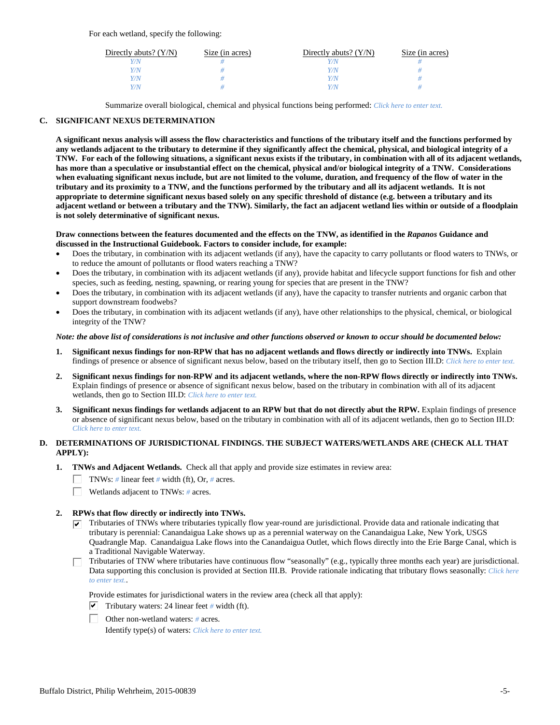For each wetland, specify the following:

| Directly abuts? $(Y/N)$ | Size (in acres) | Directly abuts? $(Y/N)$ | Size (in acres) |
|-------------------------|-----------------|-------------------------|-----------------|
|                         |                 |                         |                 |
| V/N                     |                 | Y/N                     |                 |
| V/N                     |                 | Y/N                     |                 |
|                         |                 | Y/N                     |                 |

Summarize overall biological, chemical and physical functions being performed: *Click here to enter text.*

# **C. SIGNIFICANT NEXUS DETERMINATION**

**A significant nexus analysis will assess the flow characteristics and functions of the tributary itself and the functions performed by any wetlands adjacent to the tributary to determine if they significantly affect the chemical, physical, and biological integrity of a TNW. For each of the following situations, a significant nexus exists if the tributary, in combination with all of its adjacent wetlands, has more than a speculative or insubstantial effect on the chemical, physical and/or biological integrity of a TNW. Considerations when evaluating significant nexus include, but are not limited to the volume, duration, and frequency of the flow of water in the tributary and its proximity to a TNW, and the functions performed by the tributary and all its adjacent wetlands. It is not appropriate to determine significant nexus based solely on any specific threshold of distance (e.g. between a tributary and its adjacent wetland or between a tributary and the TNW). Similarly, the fact an adjacent wetland lies within or outside of a floodplain is not solely determinative of significant nexus.** 

## **Draw connections between the features documented and the effects on the TNW, as identified in the** *Rapanos* **Guidance and discussed in the Instructional Guidebook. Factors to consider include, for example:**

- Does the tributary, in combination with its adjacent wetlands (if any), have the capacity to carry pollutants or flood waters to TNWs, or to reduce the amount of pollutants or flood waters reaching a TNW?
- Does the tributary, in combination with its adjacent wetlands (if any), provide habitat and lifecycle support functions for fish and other species, such as feeding, nesting, spawning, or rearing young for species that are present in the TNW?
- Does the tributary, in combination with its adjacent wetlands (if any), have the capacity to transfer nutrients and organic carbon that support downstream foodwebs?
- Does the tributary, in combination with its adjacent wetlands (if any), have other relationships to the physical, chemical, or biological integrity of the TNW?

## *Note: the above list of considerations is not inclusive and other functions observed or known to occur should be documented below:*

- **1. Significant nexus findings for non-RPW that has no adjacent wetlands and flows directly or indirectly into TNWs.** Explain findings of presence or absence of significant nexus below, based on the tributary itself, then go to Section III.D: *Click here to enter text.*
- **2. Significant nexus findings for non-RPW and its adjacent wetlands, where the non-RPW flows directly or indirectly into TNWs.**  Explain findings of presence or absence of significant nexus below, based on the tributary in combination with all of its adjacent wetlands, then go to Section III.D: *Click here to enter text.*
- **3. Significant nexus findings for wetlands adjacent to an RPW but that do not directly abut the RPW.** Explain findings of presence or absence of significant nexus below, based on the tributary in combination with all of its adjacent wetlands, then go to Section III.D: *Click here to enter text.*

# **D. DETERMINATIONS OF JURISDICTIONAL FINDINGS. THE SUBJECT WATERS/WETLANDS ARE (CHECK ALL THAT APPLY):**

- **1. TNWs and Adjacent Wetlands.** Check all that apply and provide size estimates in review area:
	- TNWs: *#* linear feet *#* width (ft), Or, *#* acres.
	- $\Box$ Wetlands adjacent to TNWs: *#* acres.
- **2. RPWs that flow directly or indirectly into TNWs.**
	- $\triangledown$  Tributaries of TNWs where tributaries typically flow year-round are jurisdictional. Provide data and rationale indicating that tributary is perennial: Canandaigua Lake shows up as a perennial waterway on the Canandaigua Lake, New York, USGS Quadrangle Map. Canandaigua Lake flows into the Canandaigua Outlet, which flows directly into the Erie Barge Canal, which is a Traditional Navigable Waterway.
	- Tributaries of TNW where tributaries have continuous flow "seasonally" (e.g., typically three months each year) are jurisdictional. Data supporting this conclusion is provided at Section III.B. Provide rationale indicating that tributary flows seasonally: *Click here to enter text.*.

Provide estimates for jurisdictional waters in the review area (check all that apply):

- $\triangledown$  Tributary waters: 24 linear feet # width (ft).
- Other non-wetland waters: *#* acres.

Identify type(s) of waters: *Click here to enter text.*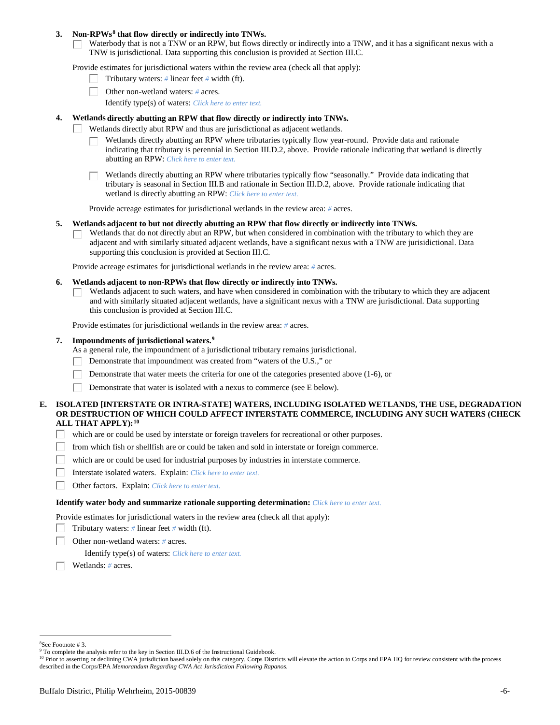## **3. Non-RPWs[8](#page-5-0) that flow directly or indirectly into TNWs.**

Waterbody that is not a TNW or an RPW, but flows directly or indirectly into a TNW, and it has a significant nexus with a TNW is jurisdictional. Data supporting this conclusion is provided at Section III.C.

Provide estimates for jurisdictional waters within the review area (check all that apply):

- Tributary waters: *#* linear feet *#* width (ft).  $\mathbf{L}$
- Other non-wetland waters: *#* acres.
	- Identify type(s) of waters: *Click here to enter text.*

## **4. Wetlands directly abutting an RPW that flow directly or indirectly into TNWs.**

- ГT. Wetlands directly abut RPW and thus are jurisdictional as adjacent wetlands.
	- Wetlands directly abutting an RPW where tributaries typically flow year-round. Provide data and rationale indicating that tributary is perennial in Section III.D.2, above. Provide rationale indicating that wetland is directly abutting an RPW: *Click here to enter text.*

Wetlands directly abutting an RPW where tributaries typically flow "seasonally." Provide data indicating that tributary is seasonal in Section III.B and rationale in Section III.D.2, above. Provide rationale indicating that wetland is directly abutting an RPW: *Click here to enter text.*

Provide acreage estimates for jurisdictional wetlands in the review area: *#* acres.

## **5. Wetlands adjacent to but not directly abutting an RPW that flow directly or indirectly into TNWs.**

Wetlands that do not directly abut an RPW, but when considered in combination with the tributary to which they are П adjacent and with similarly situated adjacent wetlands, have a significant nexus with a TNW are jurisidictional. Data supporting this conclusion is provided at Section III.C.

Provide acreage estimates for jurisdictional wetlands in the review area: *#* acres.

## **6. Wetlands adjacent to non-RPWs that flow directly or indirectly into TNWs.**

Wetlands adjacent to such waters, and have when considered in combination with the tributary to which they are adjacent П and with similarly situated adjacent wetlands, have a significant nexus with a TNW are jurisdictional. Data supporting this conclusion is provided at Section III.C.

Provide estimates for jurisdictional wetlands in the review area: *#* acres.

# **7. Impoundments of jurisdictional waters. [9](#page-5-1)**

As a general rule, the impoundment of a jurisdictional tributary remains jurisdictional.

- Demonstrate that impoundment was created from "waters of the U.S.," or
- Demonstrate that water meets the criteria for one of the categories presented above (1-6), or
- Demonstrate that water is isolated with a nexus to commerce (see E below). Г

# **E. ISOLATED [INTERSTATE OR INTRA-STATE] WATERS, INCLUDING ISOLATED WETLANDS, THE USE, DEGRADATION OR DESTRUCTION OF WHICH COULD AFFECT INTERSTATE COMMERCE, INCLUDING ANY SUCH WATERS (CHECK ALL THAT APPLY):[10](#page-5-2)**

- L. which are or could be used by interstate or foreign travelers for recreational or other purposes.
- from which fish or shellfish are or could be taken and sold in interstate or foreign commerce.
- which are or could be used for industrial purposes by industries in interstate commerce. П.
- Г Interstate isolated waters.Explain: *Click here to enter text.*
- П Other factors.Explain: *Click here to enter text.*

## **Identify water body and summarize rationale supporting determination:** *Click here to enter text.*

Provide estimates for jurisdictional waters in the review area (check all that apply):

- Tributary waters: *#* linear feet *#* width (ft).
- Other non-wetland waters: *#* acres.

Identify type(s) of waters: *Click here to enter text.*

Wetlands: *#* acres.

<span id="page-5-0"></span> $\frac{1}{8}$ See Footnote # 3.

<sup>&</sup>lt;sup>9</sup> To complete the analysis refer to the key in Section III.D.6 of the Instructional Guidebook.

<span id="page-5-2"></span><span id="page-5-1"></span><sup>&</sup>lt;sup>10</sup> Prior to asserting or declining CWA jurisdiction based solely on this category, Corps Districts will elevate the action to Corps and EPA HQ for review consistent with the process described in the Corps/EPA *Memorandum Regarding CWA Act Jurisdiction Following Rapanos.*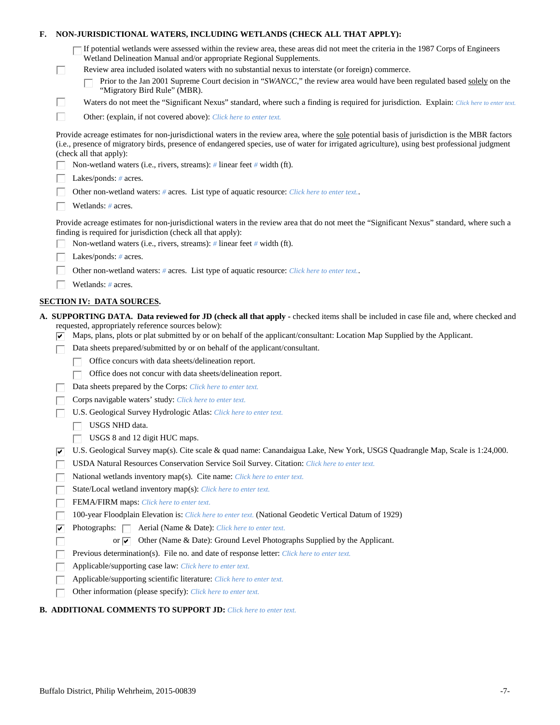| If potential wetlands were assessed within the review area, these areas did not meet the criteria in the 1987 Corps of Engineers<br>Wetland Delineation Manual and/or appropriate Regional Supplements.<br>Review area included isolated waters with no substantial nexus to interstate (or foreign) commerce.<br>L<br>Prior to the Jan 2001 Supreme Court decision in "SWANCC," the review area would have been regulated based solely on the<br>"Migratory Bird Rule" (MBR).<br>Ш<br>Waters do not meet the "Significant Nexus" standard, where such a finding is required for jurisdiction. Explain: Click here to enter text.<br>П<br>Other: (explain, if not covered above): Click here to enter text.<br>Provide acreage estimates for non-jurisdictional waters in the review area, where the sole potential basis of jurisdiction is the MBR factors<br>(i.e., presence of migratory birds, presence of endangered species, use of water for irrigated agriculture), using best professional judgment<br>(check all that apply):<br>Non-wetland waters (i.e., rivers, streams): # linear feet # width (ft).<br>Lakes/ponds: $# \, \text{acres.}$<br>Other non-wetland waters: # acres. List type of aquatic resource: Click here to enter text<br>Wetlands: # acres.<br>Provide acreage estimates for non-jurisdictional waters in the review area that do not meet the "Significant Nexus" standard, where such a<br>finding is required for jurisdiction (check all that apply):<br>Non-wetland waters (i.e., rivers, streams): $\#$ linear feet $\#$ width (ft).<br>Lakes/ponds: $# \, \text{acres.}$<br>Other non-wetland waters: # acres. List type of aquatic resource: Click here to enter text<br>Wetlands: # acres.<br><b>SECTION IV: DATA SOURCES.</b><br>A. SUPPORTING DATA. Data reviewed for JD (check all that apply - checked items shall be included in case file and, where checked and<br>requested, appropriately reference sources below):<br>Maps, plans, plots or plat submitted by or on behalf of the applicant/consultant: Location Map Supplied by the Applicant.<br>Data sheets prepared/submitted by or on behalf of the applicant/consultant.<br>Office concurs with data sheets/delineation report.<br>Office does not concur with data sheets/delineation report.<br>Data sheets prepared by the Corps: Click here to enter text.<br>Corps navigable waters' study: Click here to enter text.<br>U.S. Geological Survey Hydrologic Atlas: Click here to enter text.<br>USGS NHD data.<br>USGS 8 and 12 digit HUC maps.<br>U.S. Geological Survey map(s). Cite scale & quad name: Canandaigua Lake, New York, USGS Quadrangle Map, Scale is 1:24,000.<br>∣✔<br>USDA Natural Resources Conservation Service Soil Survey. Citation: Click here to enter text.<br>National wetlands inventory map(s). Cite name: Click here to enter text.<br>State/Local wetland inventory map(s): Click here to enter text.<br>FEMA/FIRM maps: Click here to enter text.<br>100-year Floodplain Elevation is: Click here to enter text. (National Geodetic Vertical Datum of 1929)<br>Photographs: $\Box$<br>Aerial (Name & Date): Click here to enter text.<br>⊽<br>Other (Name & Date): Ground Level Photographs Supplied by the Applicant.<br>or $\overline{\mathbf{v}}$<br>Previous determination(s). File no. and date of response letter: Click here to enter text.<br>Applicable/supporting case law: Click here to enter text. | Е. | NON-JURISDICTIONAL WATERS, INCLUDING WETLANDS (CHECK ALL THAT APPLY):  |
|-------------------------------------------------------------------------------------------------------------------------------------------------------------------------------------------------------------------------------------------------------------------------------------------------------------------------------------------------------------------------------------------------------------------------------------------------------------------------------------------------------------------------------------------------------------------------------------------------------------------------------------------------------------------------------------------------------------------------------------------------------------------------------------------------------------------------------------------------------------------------------------------------------------------------------------------------------------------------------------------------------------------------------------------------------------------------------------------------------------------------------------------------------------------------------------------------------------------------------------------------------------------------------------------------------------------------------------------------------------------------------------------------------------------------------------------------------------------------------------------------------------------------------------------------------------------------------------------------------------------------------------------------------------------------------------------------------------------------------------------------------------------------------------------------------------------------------------------------------------------------------------------------------------------------------------------------------------------------------------------------------------------------------------------------------------------------------------------------------------------------------------------------------------------------------------------------------------------------------------------------------------------------------------------------------------------------------------------------------------------------------------------------------------------------------------------------------------------------------------------------------------------------------------------------------------------------------------------------------------------------------------------------------------------------------------------------------------------------------------------------------------------------------------------------------------------------------------------------------------------------------------------------------------------------------------------------------------------------------------------------------------------------------------------------------------------------------------------------------------------------------------------------------------------------------------------------------------------------------------------------------------------------------------------------------------------------------------------------------------------------------------------------------------------------------------------------------------|----|------------------------------------------------------------------------|
|                                                                                                                                                                                                                                                                                                                                                                                                                                                                                                                                                                                                                                                                                                                                                                                                                                                                                                                                                                                                                                                                                                                                                                                                                                                                                                                                                                                                                                                                                                                                                                                                                                                                                                                                                                                                                                                                                                                                                                                                                                                                                                                                                                                                                                                                                                                                                                                                                                                                                                                                                                                                                                                                                                                                                                                                                                                                                                                                                                                                                                                                                                                                                                                                                                                                                                                                                                                                                                                             |    |                                                                        |
|                                                                                                                                                                                                                                                                                                                                                                                                                                                                                                                                                                                                                                                                                                                                                                                                                                                                                                                                                                                                                                                                                                                                                                                                                                                                                                                                                                                                                                                                                                                                                                                                                                                                                                                                                                                                                                                                                                                                                                                                                                                                                                                                                                                                                                                                                                                                                                                                                                                                                                                                                                                                                                                                                                                                                                                                                                                                                                                                                                                                                                                                                                                                                                                                                                                                                                                                                                                                                                                             |    |                                                                        |
|                                                                                                                                                                                                                                                                                                                                                                                                                                                                                                                                                                                                                                                                                                                                                                                                                                                                                                                                                                                                                                                                                                                                                                                                                                                                                                                                                                                                                                                                                                                                                                                                                                                                                                                                                                                                                                                                                                                                                                                                                                                                                                                                                                                                                                                                                                                                                                                                                                                                                                                                                                                                                                                                                                                                                                                                                                                                                                                                                                                                                                                                                                                                                                                                                                                                                                                                                                                                                                                             |    |                                                                        |
|                                                                                                                                                                                                                                                                                                                                                                                                                                                                                                                                                                                                                                                                                                                                                                                                                                                                                                                                                                                                                                                                                                                                                                                                                                                                                                                                                                                                                                                                                                                                                                                                                                                                                                                                                                                                                                                                                                                                                                                                                                                                                                                                                                                                                                                                                                                                                                                                                                                                                                                                                                                                                                                                                                                                                                                                                                                                                                                                                                                                                                                                                                                                                                                                                                                                                                                                                                                                                                                             |    |                                                                        |
|                                                                                                                                                                                                                                                                                                                                                                                                                                                                                                                                                                                                                                                                                                                                                                                                                                                                                                                                                                                                                                                                                                                                                                                                                                                                                                                                                                                                                                                                                                                                                                                                                                                                                                                                                                                                                                                                                                                                                                                                                                                                                                                                                                                                                                                                                                                                                                                                                                                                                                                                                                                                                                                                                                                                                                                                                                                                                                                                                                                                                                                                                                                                                                                                                                                                                                                                                                                                                                                             |    |                                                                        |
|                                                                                                                                                                                                                                                                                                                                                                                                                                                                                                                                                                                                                                                                                                                                                                                                                                                                                                                                                                                                                                                                                                                                                                                                                                                                                                                                                                                                                                                                                                                                                                                                                                                                                                                                                                                                                                                                                                                                                                                                                                                                                                                                                                                                                                                                                                                                                                                                                                                                                                                                                                                                                                                                                                                                                                                                                                                                                                                                                                                                                                                                                                                                                                                                                                                                                                                                                                                                                                                             |    |                                                                        |
|                                                                                                                                                                                                                                                                                                                                                                                                                                                                                                                                                                                                                                                                                                                                                                                                                                                                                                                                                                                                                                                                                                                                                                                                                                                                                                                                                                                                                                                                                                                                                                                                                                                                                                                                                                                                                                                                                                                                                                                                                                                                                                                                                                                                                                                                                                                                                                                                                                                                                                                                                                                                                                                                                                                                                                                                                                                                                                                                                                                                                                                                                                                                                                                                                                                                                                                                                                                                                                                             |    |                                                                        |
|                                                                                                                                                                                                                                                                                                                                                                                                                                                                                                                                                                                                                                                                                                                                                                                                                                                                                                                                                                                                                                                                                                                                                                                                                                                                                                                                                                                                                                                                                                                                                                                                                                                                                                                                                                                                                                                                                                                                                                                                                                                                                                                                                                                                                                                                                                                                                                                                                                                                                                                                                                                                                                                                                                                                                                                                                                                                                                                                                                                                                                                                                                                                                                                                                                                                                                                                                                                                                                                             |    |                                                                        |
|                                                                                                                                                                                                                                                                                                                                                                                                                                                                                                                                                                                                                                                                                                                                                                                                                                                                                                                                                                                                                                                                                                                                                                                                                                                                                                                                                                                                                                                                                                                                                                                                                                                                                                                                                                                                                                                                                                                                                                                                                                                                                                                                                                                                                                                                                                                                                                                                                                                                                                                                                                                                                                                                                                                                                                                                                                                                                                                                                                                                                                                                                                                                                                                                                                                                                                                                                                                                                                                             |    |                                                                        |
|                                                                                                                                                                                                                                                                                                                                                                                                                                                                                                                                                                                                                                                                                                                                                                                                                                                                                                                                                                                                                                                                                                                                                                                                                                                                                                                                                                                                                                                                                                                                                                                                                                                                                                                                                                                                                                                                                                                                                                                                                                                                                                                                                                                                                                                                                                                                                                                                                                                                                                                                                                                                                                                                                                                                                                                                                                                                                                                                                                                                                                                                                                                                                                                                                                                                                                                                                                                                                                                             |    |                                                                        |
|                                                                                                                                                                                                                                                                                                                                                                                                                                                                                                                                                                                                                                                                                                                                                                                                                                                                                                                                                                                                                                                                                                                                                                                                                                                                                                                                                                                                                                                                                                                                                                                                                                                                                                                                                                                                                                                                                                                                                                                                                                                                                                                                                                                                                                                                                                                                                                                                                                                                                                                                                                                                                                                                                                                                                                                                                                                                                                                                                                                                                                                                                                                                                                                                                                                                                                                                                                                                                                                             |    |                                                                        |
|                                                                                                                                                                                                                                                                                                                                                                                                                                                                                                                                                                                                                                                                                                                                                                                                                                                                                                                                                                                                                                                                                                                                                                                                                                                                                                                                                                                                                                                                                                                                                                                                                                                                                                                                                                                                                                                                                                                                                                                                                                                                                                                                                                                                                                                                                                                                                                                                                                                                                                                                                                                                                                                                                                                                                                                                                                                                                                                                                                                                                                                                                                                                                                                                                                                                                                                                                                                                                                                             |    |                                                                        |
|                                                                                                                                                                                                                                                                                                                                                                                                                                                                                                                                                                                                                                                                                                                                                                                                                                                                                                                                                                                                                                                                                                                                                                                                                                                                                                                                                                                                                                                                                                                                                                                                                                                                                                                                                                                                                                                                                                                                                                                                                                                                                                                                                                                                                                                                                                                                                                                                                                                                                                                                                                                                                                                                                                                                                                                                                                                                                                                                                                                                                                                                                                                                                                                                                                                                                                                                                                                                                                                             |    |                                                                        |
|                                                                                                                                                                                                                                                                                                                                                                                                                                                                                                                                                                                                                                                                                                                                                                                                                                                                                                                                                                                                                                                                                                                                                                                                                                                                                                                                                                                                                                                                                                                                                                                                                                                                                                                                                                                                                                                                                                                                                                                                                                                                                                                                                                                                                                                                                                                                                                                                                                                                                                                                                                                                                                                                                                                                                                                                                                                                                                                                                                                                                                                                                                                                                                                                                                                                                                                                                                                                                                                             |    |                                                                        |
|                                                                                                                                                                                                                                                                                                                                                                                                                                                                                                                                                                                                                                                                                                                                                                                                                                                                                                                                                                                                                                                                                                                                                                                                                                                                                                                                                                                                                                                                                                                                                                                                                                                                                                                                                                                                                                                                                                                                                                                                                                                                                                                                                                                                                                                                                                                                                                                                                                                                                                                                                                                                                                                                                                                                                                                                                                                                                                                                                                                                                                                                                                                                                                                                                                                                                                                                                                                                                                                             |    |                                                                        |
|                                                                                                                                                                                                                                                                                                                                                                                                                                                                                                                                                                                                                                                                                                                                                                                                                                                                                                                                                                                                                                                                                                                                                                                                                                                                                                                                                                                                                                                                                                                                                                                                                                                                                                                                                                                                                                                                                                                                                                                                                                                                                                                                                                                                                                                                                                                                                                                                                                                                                                                                                                                                                                                                                                                                                                                                                                                                                                                                                                                                                                                                                                                                                                                                                                                                                                                                                                                                                                                             |    |                                                                        |
|                                                                                                                                                                                                                                                                                                                                                                                                                                                                                                                                                                                                                                                                                                                                                                                                                                                                                                                                                                                                                                                                                                                                                                                                                                                                                                                                                                                                                                                                                                                                                                                                                                                                                                                                                                                                                                                                                                                                                                                                                                                                                                                                                                                                                                                                                                                                                                                                                                                                                                                                                                                                                                                                                                                                                                                                                                                                                                                                                                                                                                                                                                                                                                                                                                                                                                                                                                                                                                                             |    |                                                                        |
|                                                                                                                                                                                                                                                                                                                                                                                                                                                                                                                                                                                                                                                                                                                                                                                                                                                                                                                                                                                                                                                                                                                                                                                                                                                                                                                                                                                                                                                                                                                                                                                                                                                                                                                                                                                                                                                                                                                                                                                                                                                                                                                                                                                                                                                                                                                                                                                                                                                                                                                                                                                                                                                                                                                                                                                                                                                                                                                                                                                                                                                                                                                                                                                                                                                                                                                                                                                                                                                             |    |                                                                        |
|                                                                                                                                                                                                                                                                                                                                                                                                                                                                                                                                                                                                                                                                                                                                                                                                                                                                                                                                                                                                                                                                                                                                                                                                                                                                                                                                                                                                                                                                                                                                                                                                                                                                                                                                                                                                                                                                                                                                                                                                                                                                                                                                                                                                                                                                                                                                                                                                                                                                                                                                                                                                                                                                                                                                                                                                                                                                                                                                                                                                                                                                                                                                                                                                                                                                                                                                                                                                                                                             |    |                                                                        |
|                                                                                                                                                                                                                                                                                                                                                                                                                                                                                                                                                                                                                                                                                                                                                                                                                                                                                                                                                                                                                                                                                                                                                                                                                                                                                                                                                                                                                                                                                                                                                                                                                                                                                                                                                                                                                                                                                                                                                                                                                                                                                                                                                                                                                                                                                                                                                                                                                                                                                                                                                                                                                                                                                                                                                                                                                                                                                                                                                                                                                                                                                                                                                                                                                                                                                                                                                                                                                                                             |    |                                                                        |
|                                                                                                                                                                                                                                                                                                                                                                                                                                                                                                                                                                                                                                                                                                                                                                                                                                                                                                                                                                                                                                                                                                                                                                                                                                                                                                                                                                                                                                                                                                                                                                                                                                                                                                                                                                                                                                                                                                                                                                                                                                                                                                                                                                                                                                                                                                                                                                                                                                                                                                                                                                                                                                                                                                                                                                                                                                                                                                                                                                                                                                                                                                                                                                                                                                                                                                                                                                                                                                                             |    |                                                                        |
|                                                                                                                                                                                                                                                                                                                                                                                                                                                                                                                                                                                                                                                                                                                                                                                                                                                                                                                                                                                                                                                                                                                                                                                                                                                                                                                                                                                                                                                                                                                                                                                                                                                                                                                                                                                                                                                                                                                                                                                                                                                                                                                                                                                                                                                                                                                                                                                                                                                                                                                                                                                                                                                                                                                                                                                                                                                                                                                                                                                                                                                                                                                                                                                                                                                                                                                                                                                                                                                             |    |                                                                        |
|                                                                                                                                                                                                                                                                                                                                                                                                                                                                                                                                                                                                                                                                                                                                                                                                                                                                                                                                                                                                                                                                                                                                                                                                                                                                                                                                                                                                                                                                                                                                                                                                                                                                                                                                                                                                                                                                                                                                                                                                                                                                                                                                                                                                                                                                                                                                                                                                                                                                                                                                                                                                                                                                                                                                                                                                                                                                                                                                                                                                                                                                                                                                                                                                                                                                                                                                                                                                                                                             |    |                                                                        |
|                                                                                                                                                                                                                                                                                                                                                                                                                                                                                                                                                                                                                                                                                                                                                                                                                                                                                                                                                                                                                                                                                                                                                                                                                                                                                                                                                                                                                                                                                                                                                                                                                                                                                                                                                                                                                                                                                                                                                                                                                                                                                                                                                                                                                                                                                                                                                                                                                                                                                                                                                                                                                                                                                                                                                                                                                                                                                                                                                                                                                                                                                                                                                                                                                                                                                                                                                                                                                                                             |    |                                                                        |
|                                                                                                                                                                                                                                                                                                                                                                                                                                                                                                                                                                                                                                                                                                                                                                                                                                                                                                                                                                                                                                                                                                                                                                                                                                                                                                                                                                                                                                                                                                                                                                                                                                                                                                                                                                                                                                                                                                                                                                                                                                                                                                                                                                                                                                                                                                                                                                                                                                                                                                                                                                                                                                                                                                                                                                                                                                                                                                                                                                                                                                                                                                                                                                                                                                                                                                                                                                                                                                                             |    |                                                                        |
|                                                                                                                                                                                                                                                                                                                                                                                                                                                                                                                                                                                                                                                                                                                                                                                                                                                                                                                                                                                                                                                                                                                                                                                                                                                                                                                                                                                                                                                                                                                                                                                                                                                                                                                                                                                                                                                                                                                                                                                                                                                                                                                                                                                                                                                                                                                                                                                                                                                                                                                                                                                                                                                                                                                                                                                                                                                                                                                                                                                                                                                                                                                                                                                                                                                                                                                                                                                                                                                             |    |                                                                        |
|                                                                                                                                                                                                                                                                                                                                                                                                                                                                                                                                                                                                                                                                                                                                                                                                                                                                                                                                                                                                                                                                                                                                                                                                                                                                                                                                                                                                                                                                                                                                                                                                                                                                                                                                                                                                                                                                                                                                                                                                                                                                                                                                                                                                                                                                                                                                                                                                                                                                                                                                                                                                                                                                                                                                                                                                                                                                                                                                                                                                                                                                                                                                                                                                                                                                                                                                                                                                                                                             |    |                                                                        |
|                                                                                                                                                                                                                                                                                                                                                                                                                                                                                                                                                                                                                                                                                                                                                                                                                                                                                                                                                                                                                                                                                                                                                                                                                                                                                                                                                                                                                                                                                                                                                                                                                                                                                                                                                                                                                                                                                                                                                                                                                                                                                                                                                                                                                                                                                                                                                                                                                                                                                                                                                                                                                                                                                                                                                                                                                                                                                                                                                                                                                                                                                                                                                                                                                                                                                                                                                                                                                                                             |    |                                                                        |
|                                                                                                                                                                                                                                                                                                                                                                                                                                                                                                                                                                                                                                                                                                                                                                                                                                                                                                                                                                                                                                                                                                                                                                                                                                                                                                                                                                                                                                                                                                                                                                                                                                                                                                                                                                                                                                                                                                                                                                                                                                                                                                                                                                                                                                                                                                                                                                                                                                                                                                                                                                                                                                                                                                                                                                                                                                                                                                                                                                                                                                                                                                                                                                                                                                                                                                                                                                                                                                                             |    |                                                                        |
|                                                                                                                                                                                                                                                                                                                                                                                                                                                                                                                                                                                                                                                                                                                                                                                                                                                                                                                                                                                                                                                                                                                                                                                                                                                                                                                                                                                                                                                                                                                                                                                                                                                                                                                                                                                                                                                                                                                                                                                                                                                                                                                                                                                                                                                                                                                                                                                                                                                                                                                                                                                                                                                                                                                                                                                                                                                                                                                                                                                                                                                                                                                                                                                                                                                                                                                                                                                                                                                             |    |                                                                        |
|                                                                                                                                                                                                                                                                                                                                                                                                                                                                                                                                                                                                                                                                                                                                                                                                                                                                                                                                                                                                                                                                                                                                                                                                                                                                                                                                                                                                                                                                                                                                                                                                                                                                                                                                                                                                                                                                                                                                                                                                                                                                                                                                                                                                                                                                                                                                                                                                                                                                                                                                                                                                                                                                                                                                                                                                                                                                                                                                                                                                                                                                                                                                                                                                                                                                                                                                                                                                                                                             |    |                                                                        |
|                                                                                                                                                                                                                                                                                                                                                                                                                                                                                                                                                                                                                                                                                                                                                                                                                                                                                                                                                                                                                                                                                                                                                                                                                                                                                                                                                                                                                                                                                                                                                                                                                                                                                                                                                                                                                                                                                                                                                                                                                                                                                                                                                                                                                                                                                                                                                                                                                                                                                                                                                                                                                                                                                                                                                                                                                                                                                                                                                                                                                                                                                                                                                                                                                                                                                                                                                                                                                                                             |    |                                                                        |
|                                                                                                                                                                                                                                                                                                                                                                                                                                                                                                                                                                                                                                                                                                                                                                                                                                                                                                                                                                                                                                                                                                                                                                                                                                                                                                                                                                                                                                                                                                                                                                                                                                                                                                                                                                                                                                                                                                                                                                                                                                                                                                                                                                                                                                                                                                                                                                                                                                                                                                                                                                                                                                                                                                                                                                                                                                                                                                                                                                                                                                                                                                                                                                                                                                                                                                                                                                                                                                                             |    |                                                                        |
|                                                                                                                                                                                                                                                                                                                                                                                                                                                                                                                                                                                                                                                                                                                                                                                                                                                                                                                                                                                                                                                                                                                                                                                                                                                                                                                                                                                                                                                                                                                                                                                                                                                                                                                                                                                                                                                                                                                                                                                                                                                                                                                                                                                                                                                                                                                                                                                                                                                                                                                                                                                                                                                                                                                                                                                                                                                                                                                                                                                                                                                                                                                                                                                                                                                                                                                                                                                                                                                             |    |                                                                        |
|                                                                                                                                                                                                                                                                                                                                                                                                                                                                                                                                                                                                                                                                                                                                                                                                                                                                                                                                                                                                                                                                                                                                                                                                                                                                                                                                                                                                                                                                                                                                                                                                                                                                                                                                                                                                                                                                                                                                                                                                                                                                                                                                                                                                                                                                                                                                                                                                                                                                                                                                                                                                                                                                                                                                                                                                                                                                                                                                                                                                                                                                                                                                                                                                                                                                                                                                                                                                                                                             |    |                                                                        |
|                                                                                                                                                                                                                                                                                                                                                                                                                                                                                                                                                                                                                                                                                                                                                                                                                                                                                                                                                                                                                                                                                                                                                                                                                                                                                                                                                                                                                                                                                                                                                                                                                                                                                                                                                                                                                                                                                                                                                                                                                                                                                                                                                                                                                                                                                                                                                                                                                                                                                                                                                                                                                                                                                                                                                                                                                                                                                                                                                                                                                                                                                                                                                                                                                                                                                                                                                                                                                                                             |    |                                                                        |
|                                                                                                                                                                                                                                                                                                                                                                                                                                                                                                                                                                                                                                                                                                                                                                                                                                                                                                                                                                                                                                                                                                                                                                                                                                                                                                                                                                                                                                                                                                                                                                                                                                                                                                                                                                                                                                                                                                                                                                                                                                                                                                                                                                                                                                                                                                                                                                                                                                                                                                                                                                                                                                                                                                                                                                                                                                                                                                                                                                                                                                                                                                                                                                                                                                                                                                                                                                                                                                                             |    | Applicable/supporting scientific literature: Click here to enter text. |
|                                                                                                                                                                                                                                                                                                                                                                                                                                                                                                                                                                                                                                                                                                                                                                                                                                                                                                                                                                                                                                                                                                                                                                                                                                                                                                                                                                                                                                                                                                                                                                                                                                                                                                                                                                                                                                                                                                                                                                                                                                                                                                                                                                                                                                                                                                                                                                                                                                                                                                                                                                                                                                                                                                                                                                                                                                                                                                                                                                                                                                                                                                                                                                                                                                                                                                                                                                                                                                                             |    | Other information (please specify): Click here to enter text.          |
|                                                                                                                                                                                                                                                                                                                                                                                                                                                                                                                                                                                                                                                                                                                                                                                                                                                                                                                                                                                                                                                                                                                                                                                                                                                                                                                                                                                                                                                                                                                                                                                                                                                                                                                                                                                                                                                                                                                                                                                                                                                                                                                                                                                                                                                                                                                                                                                                                                                                                                                                                                                                                                                                                                                                                                                                                                                                                                                                                                                                                                                                                                                                                                                                                                                                                                                                                                                                                                                             |    |                                                                        |

# **B. ADDITIONAL COMMENTS TO SUPPORT JD:** *Click here to enter text.*